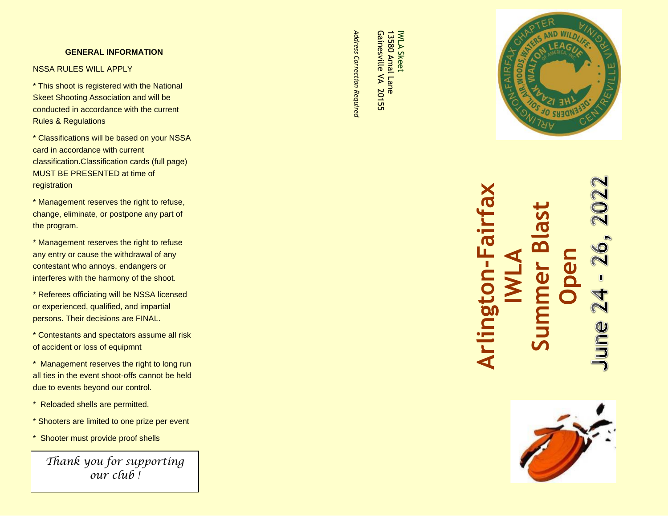#### **GENERAL INFORMATION**

#### NSSA RULES WILL APPLY

\* This shoot is registered with the National Skeet Shooting Association and will be conducted in accordance with the current Rules & Regulations

\* Classifications will be based on your NSSA card in accordance with current classification.Classification cards (full page) MUST BE PRESENTED at time of registration

\* Management reserves the right to refuse, change, eliminate, or postpone any part of the program.

\* Management reserves the right to refuse any entry or cause the withdrawal of any contestant who annoys, endangers or interferes with the harmony of the shoot.

\* Referees officiating will be NSSA licensed or experienced, qualified, and impartial persons. Their decisions are FINAL.

\* Contestants and spectators assume all risk of accident or loss of equipmnt

\* Management reserves the right to long run all ties in the event shoot -offs cannot be held due to events beyond our control.

- \* Reloaded shells are permitted.
- \* Shooters are limited to one prize per event
- \* Shooter must provide proof shells

*Thank you for supporting our club !*

Address Correction Requirea *Address Correction Required*

Gainesville VA 20155 Gainesville VA 20155 13580 Amal Lane 13580 Amal Lane

IWLA Skeet

IWLA Skeet



000